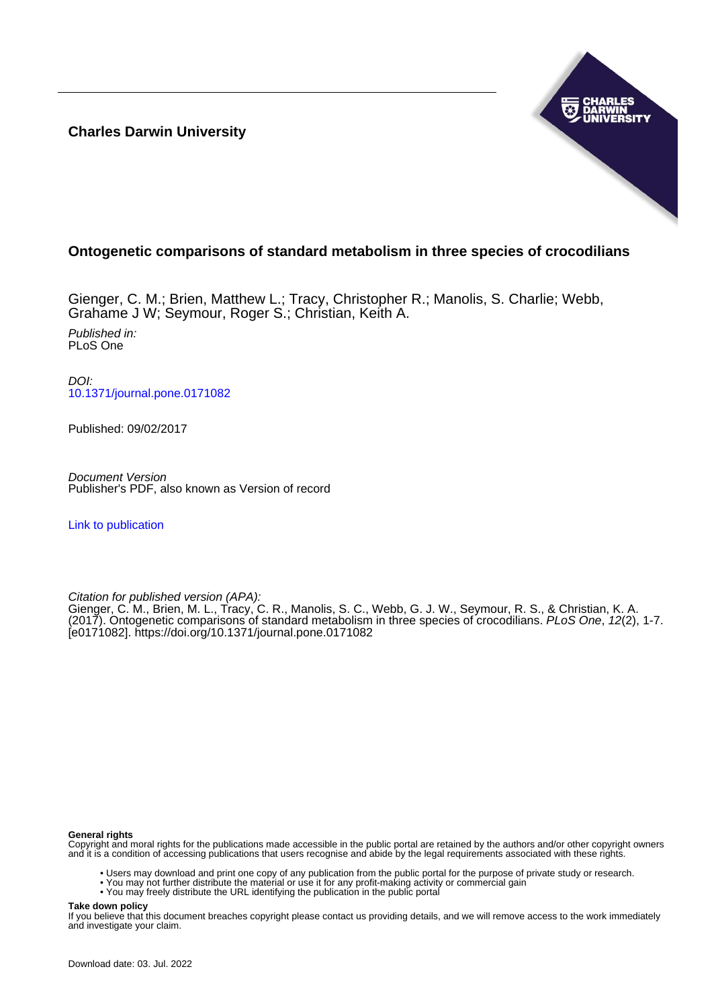**Charles Darwin University**



### **Ontogenetic comparisons of standard metabolism in three species of crocodilians**

Gienger, C. M.; Brien, Matthew L.; Tracy, Christopher R.; Manolis, S. Charlie; Webb, Grahame J W; Seymour, Roger S.; Christian, Keith A. Published in: PLoS One

DOI: [10.1371/journal.pone.0171082](https://doi.org/10.1371/journal.pone.0171082)

Published: 09/02/2017

Document Version Publisher's PDF, also known as Version of record

[Link to publication](https://researchers.cdu.edu.au/en/publications/b5a139dc-c059-42ef-b4b3-bb0a49d09d9a)

Citation for published version (APA):

Gienger, C. M., Brien, M. L., Tracy, C. R., Manolis, S. C., Webb, G. J. W., Seymour, R. S., & Christian, K. A. (2017). Ontogenetic comparisons of standard metabolism in three species of crocodilians. PLoS One, 12(2), 1-7. [e0171082]. <https://doi.org/10.1371/journal.pone.0171082>

#### **General rights**

Copyright and moral rights for the publications made accessible in the public portal are retained by the authors and/or other copyright owners and it is a condition of accessing publications that users recognise and abide by the legal requirements associated with these rights.

- Users may download and print one copy of any publication from the public portal for the purpose of private study or research.
- You may not further distribute the material or use it for any profit-making activity or commercial gain
- You may freely distribute the URL identifying the publication in the public portal

**Take down policy**

If you believe that this document breaches copyright please contact us providing details, and we will remove access to the work immediately and investigate your claim.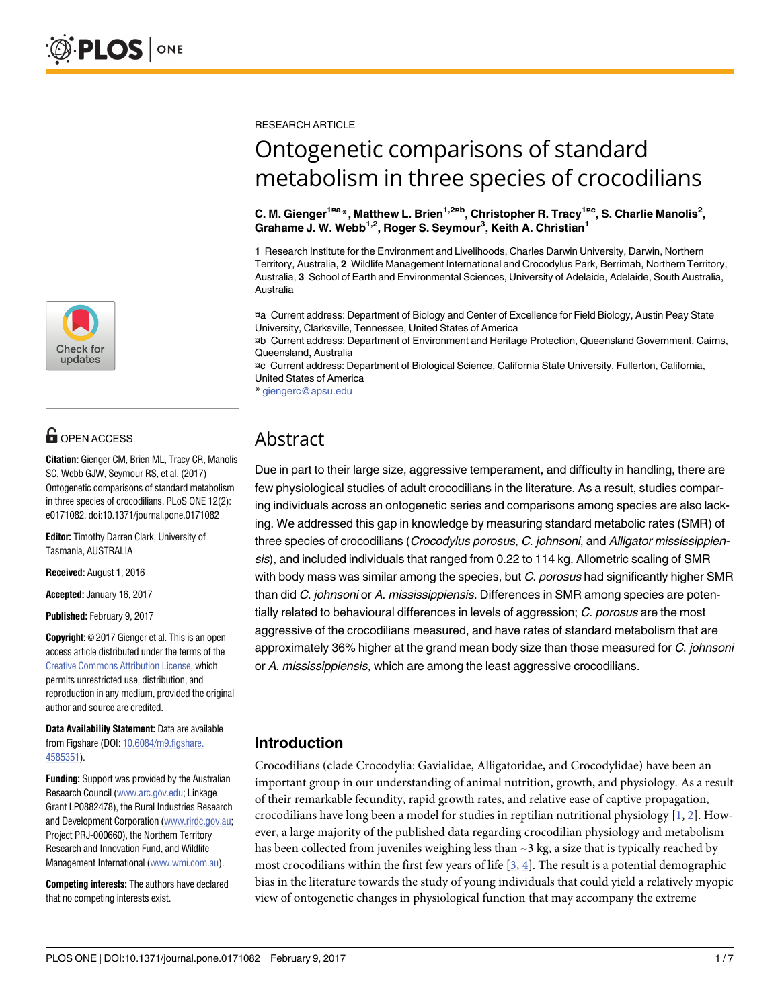

# **O** OPEN ACCESS

**Citation:** Gienger CM, Brien ML, Tracy CR, Manolis SC, Webb GJW, Seymour RS, et al. (2017) Ontogenetic comparisons of standard metabolism in three species of crocodilians. PLoS ONE 12(2): e0171082. doi:10.1371/journal.pone.0171082

**Editor:** Timothy Darren Clark, University of Tasmania, AUSTRALIA

**Received:** August 1, 2016

**Accepted:** January 16, 2017

**Published:** February 9, 2017

**Copyright:** © 2017 Gienger et al. This is an open access article distributed under the terms of the Creative Commons [Attribution](http://creativecommons.org/licenses/by/4.0/) License, which permits unrestricted use, distribution, and reproduction in any medium, provided the original author and source are credited.

**Data Availability Statement:** Data are available from Figshare (DOI: [10.6084/m9.figshare.](http://dx.doi.org/10.6084/m9.figshare.4585351) [4585351\)](http://dx.doi.org/10.6084/m9.figshare.4585351).

**Funding:** Support was provided by the Australian Research Council [\(www.arc.gov.edu;](http://www.arc.gov.edu) Linkage Grant LP0882478), the Rural Industries Research and Development Corporation [\(www.rirdc.gov.au](http://www.rirdc.gov.au); Project PRJ-000660), the Northern Territory Research and Innovation Fund, and Wildlife Management International [\(www.wmi.com.au\)](http://www.wmi.com.au).

**Competing interests:** The authors have declared that no competing interests exist.

<span id="page-1-0"></span>RESEARCH ARTICLE

# Ontogenetic comparisons of standard metabolism in three species of crocodilians

C. M. Gienger<sup>1¤a</sup>\*, Matthew L. Brien<sup>1,2¤b</sup>, Christopher R. Tracy<sup>1¤c</sup>, S. Charlie Manolis<sup>2</sup>, **Grahame J. W. Webb1,2, Roger S. Seymour3 , Keith A. Christian1**

**1** Research Institute for the Environment and Livelihoods, Charles Darwin University, Darwin, Northern Territory, Australia, **2** Wildlife Management International and Crocodylus Park, Berrimah, Northern Territory, Australia, **3** School of Earth and Environmental Sciences, University of Adelaide, Adelaide, South Australia, Australia

¤a Current address: Department of Biology and Center of Excellence for Field Biology, Austin Peay State University, Clarksville, Tennessee, United States of America

¤b Current address: Department of Environment and Heritage Protection, Queensland Government, Cairns, Queensland, Australia

¤c Current address: Department of Biological Science, California State University, Fullerton, California, United States of America

\* giengerc@apsu.edu

## Abstract

Due in part to their large size, aggressive temperament, and difficulty in handling, there are few physiological studies of adult crocodilians in the literature. As a result, studies comparing individuals across an ontogenetic series and comparisons among species are also lacking. We addressed this gap in knowledge by measuring standard metabolic rates (SMR) of three species of crocodilians (*Crocodylus porosus, C. johnsoni, and Alligator mississippien*sis), and included individuals that ranged from 0.22 to 114 kg. Allometric scaling of SMR with body mass was similar among the species, but C. porosus had significantly higher SMR than did C. johnsoni or A. mississippiensis. Differences in SMR among species are potentially related to behavioural differences in levels of aggression; C. porosus are the most aggressive of the crocodilians measured, and have rates of standard metabolism that are approximately 36% higher at the grand mean body size than those measured for C. johnsoni or A. mississippiensis, which are among the least aggressive crocodilians.

## **Introduction**

Crocodilians (clade Crocodylia: Gavialidae, Alligatoridae, and Crocodylidae) have been an important group in our understanding of animal nutrition, growth, and physiology. As a result of their remarkable fecundity, rapid growth rates, and relative ease of captive propagation, crocodilians have long been a model for studies in reptilian nutritional physiology  $[1, 2]$  $[1, 2]$  $[1, 2]$  $[1, 2]$ . However, a large majority of the published data regarding crocodilian physiology and metabolism has been collected from juveniles weighing less than  $\sim$ 3 kg, a size that is typically reached by most crocodilians within the first few years of life  $[3, 4]$  $[3, 4]$  $[3, 4]$  $[3, 4]$ . The result is a potential demographic bias in the literature towards the study of young individuals that could yield a relatively myopic view of ontogenetic changes in physiological function that may accompany the extreme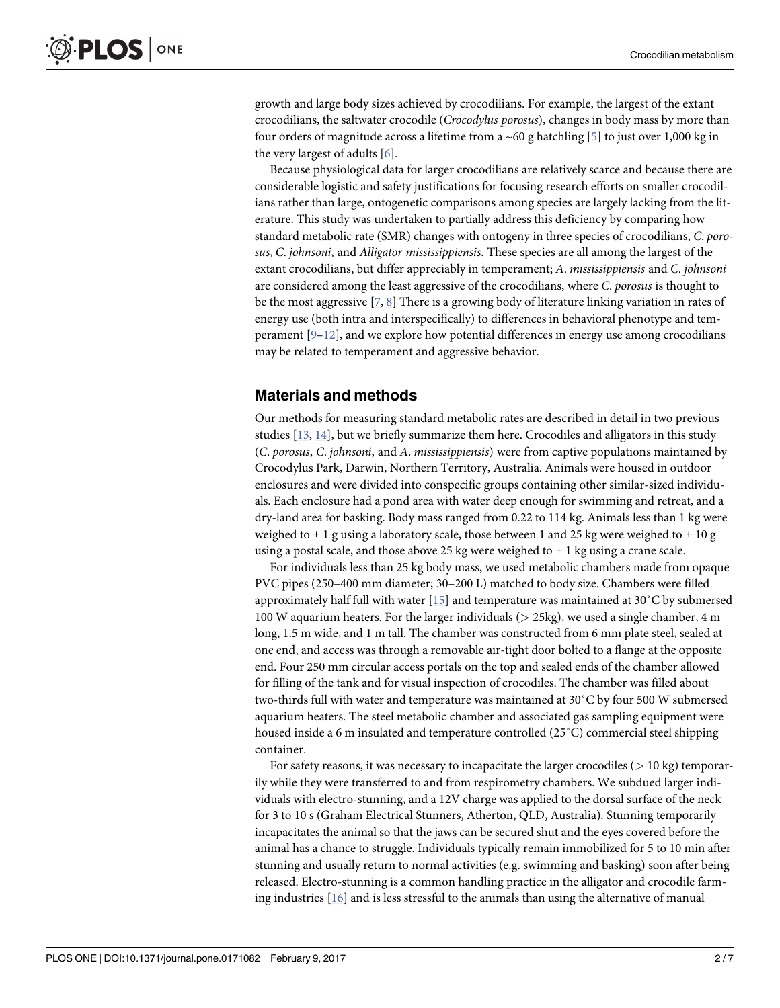<span id="page-2-0"></span>growth and large body sizes achieved by crocodilians. For example, the largest of the extant crocodilians, the saltwater crocodile (*Crocodylus porosus*), changes in body mass by more than four orders of magnitude across a lifetime from a  $\sim 60$  g hatchling [\[5\]](#page-6-0) to just over 1,000 kg in the very largest of adults [[6\]](#page-6-0).

Because physiological data for larger crocodilians are relatively scarce and because there are considerable logistic and safety justifications for focusing research efforts on smaller crocodilians rather than large, ontogenetic comparisons among species are largely lacking from the literature. This study was undertaken to partially address this deficiency by comparing how standard metabolic rate (SMR) changes with ontogeny in three species of crocodilians, *C*. *porosus*, *C*. *johnsoni*, and *Alligator mississippiensis*. These species are all among the largest of the extant crocodilians, but differ appreciably in temperament; *A*. *mississippiensis* and *C*. *johnsoni* are considered among the least aggressive of the crocodilians, where *C*. *porosus* is thought to be the most aggressive [\[7,](#page-6-0) [8](#page-6-0)] There is a growing body of literature linking variation in rates of energy use (both intra and interspecifically) to differences in behavioral phenotype and temperament  $[9-12]$ , and we explore how potential differences in energy use among crocodilians may be related to temperament and aggressive behavior.

#### **Materials and methods**

Our methods for measuring standard metabolic rates are described in detail in two previous studies [\[13,](#page-7-0) [14\]](#page-7-0), but we briefly summarize them here. Crocodiles and alligators in this study (*C*. *porosus*, *C*. *johnsoni*, and *A*. *mississippiensis*) were from captive populations maintained by Crocodylus Park, Darwin, Northern Territory, Australia. Animals were housed in outdoor enclosures and were divided into conspecific groups containing other similar-sized individuals. Each enclosure had a pond area with water deep enough for swimming and retreat, and a dry-land area for basking. Body mass ranged from 0.22 to 114 kg. Animals less than 1 kg were weighed to  $\pm$  1 g using a laboratory scale, those between 1 and 25 kg were weighed to  $\pm$  10 g using a postal scale, and those above 25 kg were weighed to  $\pm$  1 kg using a crane scale.

For individuals less than 25 kg body mass, we used metabolic chambers made from opaque PVC pipes (250–400 mm diameter; 30–200 L) matched to body size. Chambers were filled approximately half full with water [[15](#page-7-0)] and temperature was maintained at 30˚C by submersed 100 W aquarium heaters. For the larger individuals (*>* 25kg), we used a single chamber, 4 m long, 1.5 m wide, and 1 m tall. The chamber was constructed from 6 mm plate steel, sealed at one end, and access was through a removable air-tight door bolted to a flange at the opposite end. Four 250 mm circular access portals on the top and sealed ends of the chamber allowed for filling of the tank and for visual inspection of crocodiles. The chamber was filled about two-thirds full with water and temperature was maintained at 30˚C by four 500 W submersed aquarium heaters. The steel metabolic chamber and associated gas sampling equipment were housed inside a 6 m insulated and temperature controlled (25˚C) commercial steel shipping container.

For safety reasons, it was necessary to incapacitate the larger crocodiles (*>* 10 kg) temporarily while they were transferred to and from respirometry chambers. We subdued larger individuals with electro-stunning, and a 12V charge was applied to the dorsal surface of the neck for 3 to 10 s (Graham Electrical Stunners, Atherton, QLD, Australia). Stunning temporarily incapacitates the animal so that the jaws can be secured shut and the eyes covered before the animal has a chance to struggle. Individuals typically remain immobilized for 5 to 10 min after stunning and usually return to normal activities (e.g. swimming and basking) soon after being released. Electro-stunning is a common handling practice in the alligator and crocodile farming industries  $[16]$  and is less stressful to the animals than using the alternative of manual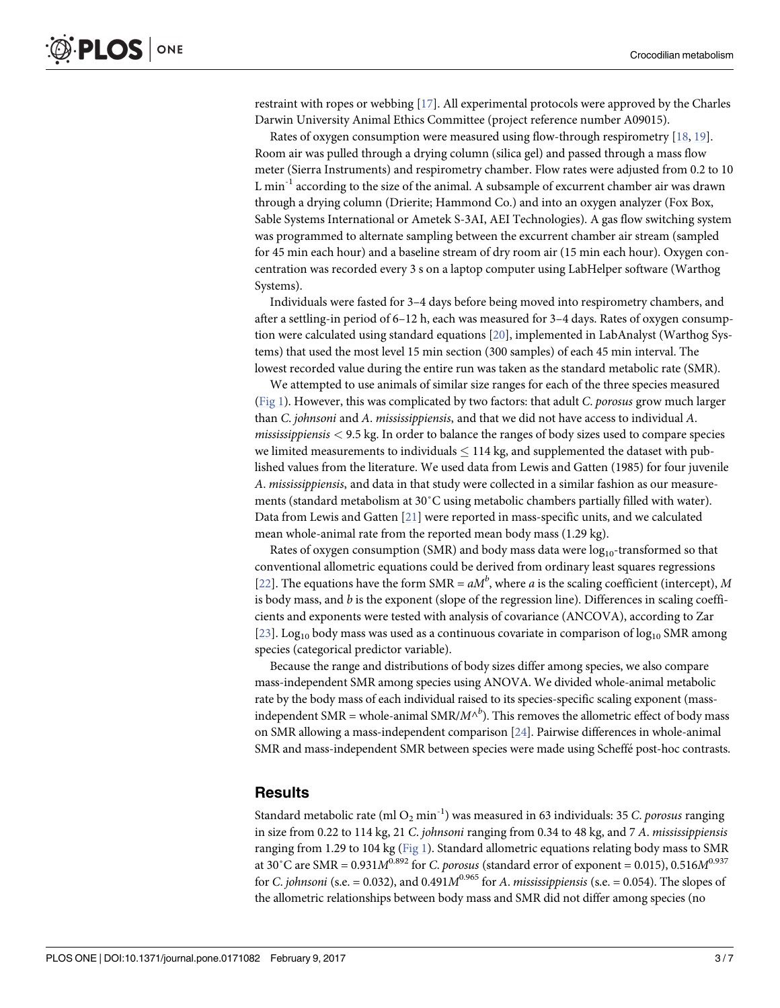<span id="page-3-0"></span>restraint with ropes or webbing [[17](#page-7-0)]. All experimental protocols were approved by the Charles Darwin University Animal Ethics Committee (project reference number A09015).

Rates of oxygen consumption were measured using flow-through respirometry [[18](#page-7-0), [19](#page-7-0)]. Room air was pulled through a drying column (silica gel) and passed through a mass flow meter (Sierra Instruments) and respirometry chamber. Flow rates were adjusted from 0.2 to 10 L min-1 according to the size of the animal. A subsample of excurrent chamber air was drawn through a drying column (Drierite; Hammond Co.) and into an oxygen analyzer (Fox Box, Sable Systems International or Ametek S-3AI, AEI Technologies). A gas flow switching system was programmed to alternate sampling between the excurrent chamber air stream (sampled for 45 min each hour) and a baseline stream of dry room air (15 min each hour). Oxygen concentration was recorded every 3 s on a laptop computer using LabHelper software (Warthog Systems).

Individuals were fasted for 3–4 days before being moved into respirometry chambers, and after a settling-in period of 6–12 h, each was measured for 3–4 days. Rates of oxygen consumption were calculated using standard equations [\[20\]](#page-7-0), implemented in LabAnalyst (Warthog Systems) that used the most level 15 min section (300 samples) of each 45 min interval. The lowest recorded value during the entire run was taken as the standard metabolic rate (SMR).

We attempted to use animals of similar size ranges for each of the three species measured [\(Fig](#page-4-0) 1). However, this was complicated by two factors: that adult *C*. *porosus* grow much larger than *C*. *johnsoni* and *A*. *mississippiensis*, and that we did not have access to individual *A*. *mississippiensis <* 9.5 kg. In order to balance the ranges of body sizes used to compare species we limited measurements to individuals  $\leq 114$  kg, and supplemented the dataset with published values from the literature. We used data from Lewis and Gatten (1985) for four juvenile *A*. *mississippiensis*, and data in that study were collected in a similar fashion as our measurements (standard metabolism at 30˚C using metabolic chambers partially filled with water). Data from Lewis and Gatten [\[21\]](#page-7-0) were reported in mass-specific units, and we calculated mean whole-animal rate from the reported mean body mass (1.29 kg).

Rates of oxygen consumption (SMR) and body mass data were  $log_{10}$ -transformed so that conventional allometric equations could be derived from ordinary least squares regressions [\[22\]](#page-7-0). The equations have the form  $SMR = aM^b$ , where *a* is the scaling coefficient (intercept), *M* is body mass, and *b* is the exponent (slope of the regression line). Differences in scaling coefficients and exponents were tested with analysis of covariance (ANCOVA), according to Zar [\[23\]](#page-7-0). Log<sub>10</sub> body mass was used as a continuous covariate in comparison of  $log_{10}$  SMR among species (categorical predictor variable).

Because the range and distributions of body sizes differ among species, we also compare mass-independent SMR among species using ANOVA. We divided whole-animal metabolic rate by the body mass of each individual raised to its species-specific scaling exponent (massindependent SMR = whole-animal SMR/ $M^{\wedge b}$ ). This removes the allometric effect of body mass on SMR allowing a mass-independent comparison [\[24\]](#page-7-0). Pairwise differences in whole-animal SMR and mass-independent SMR between species were made using Scheffé post-hoc contrasts.

#### **Results**

Standard metabolic rate (ml  $O_2$  min<sup>-1</sup>) was measured in 63 individuals: 35 *C. porosus* ranging in size from 0.22 to 114 kg, 21 *C*. *johnsoni* ranging from 0.34 to 48 kg, and 7 *A*. *mississippiensis* ranging from 1.29 to 104 kg ([Fig](#page-4-0) 1). Standard allometric equations relating body mass to SMR at 30°C are SMR =  $0.931M^{0.892}$  for *C. porosus* (standard error of exponent = 0.015), 0.516 $M^{0.937}$ for *C. johnsoni* (s.e. = 0.032), and 0.491 $M^{0.965}$  for *A. mississippiensis* (s.e. = 0.054). The slopes of the allometric relationships between body mass and SMR did not differ among species (no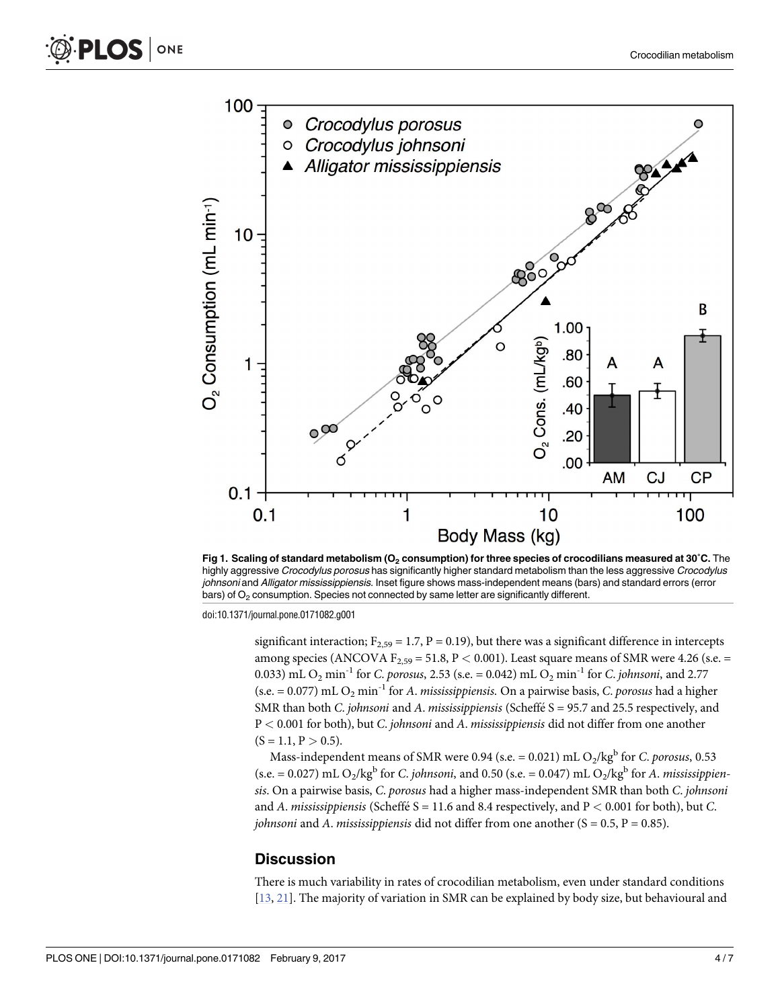<span id="page-4-0"></span>

**[Fig](#page-3-0) 1. Scaling of standard metabolism (O2 consumption) for three species of crocodilians measured at 30˚C.** The highly aggressive Crocodylus porosus has significantly higher standard metabolism than the less aggressive Crocodylus johnsoni and Alligator mississippiensis. Inset figure shows mass-independent means (bars) and standard errors (error bars) of  $O<sub>2</sub>$  consumption. Species not connected by same letter are significantly different.

doi:10.1371/journal.pone.0171082.g001

significant interaction;  $F_{2,59} = 1.7$ ,  $P = 0.19$ ), but there was a significant difference in intercepts among species (ANCOVA  $F_{2,59} = 51.8$ ,  $P < 0.001$ ). Least square means of SMR were 4.26 (s.e. = 0.033) mL O<sub>2</sub> min<sup>-1</sup> for *C. porosus*, 2.53 (s.e. = 0.042) mL O<sub>2</sub> min<sup>-1</sup> for *C. johnsoni*, and 2.77  $(s.e. = 0.077)$  mL  $O_2$  min<sup>-1</sup> for *A. mississippiensis*. On a pairwise basis, *C. porosus* had a higher SMR than both *C. johnsoni* and *A. mississippiensis* (Scheffé S = 95.7 and 25.5 respectively, and P *<* 0.001 for both), but *C*. *johnsoni* and *A*. *mississippiensis* did not differ from one another  $(S = 1.1, P > 0.5).$ 

Mass-independent means of SMR were 0.94 (s.e.  $= 0.021$ ) mL O<sub>2</sub>/kg<sup>b</sup> for *C. porosus*, 0.53  $(s.e. = 0.027)$  mL O<sub>2</sub>/kg<sup>b</sup> for *C*. *johnsoni*, and 0.50 (s.e. = 0.047) mL O<sub>2</sub>/kg<sup>b</sup> for *A*. *mississippiensis*. On a pairwise basis, *C*. *porosus* had a higher mass-independent SMR than both *C*. *johnsoni* and *A*. *mississippiensis* (Scheffé  $S = 11.6$  and 8.4 respectively, and  $P < 0.001$  for both), but *C*. *johnsoni* and *A*. *mississippiensis* did not differ from one another (S = 0.5, P = 0.85).

#### **Discussion**

There is much variability in rates of crocodilian metabolism, even under standard conditions [\[13,](#page-7-0) [21\]](#page-7-0). The majority of variation in SMR can be explained by body size, but behavioural and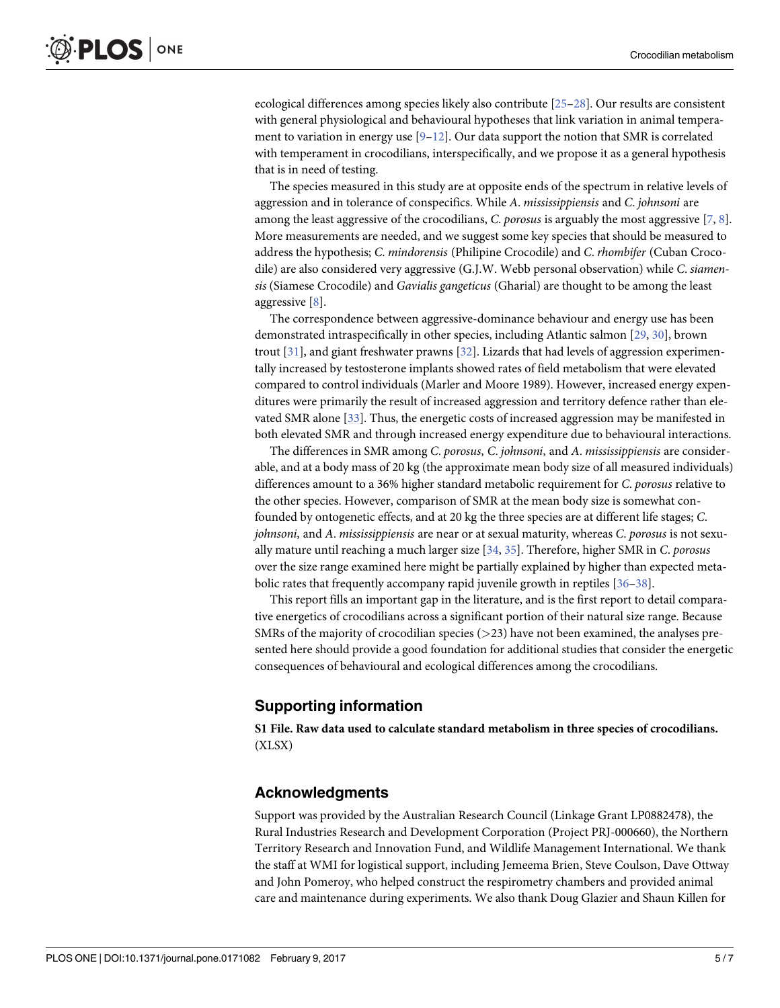<span id="page-5-0"></span>ecological differences among species likely also contribute [[25–28\]](#page-7-0). Our results are consistent with general physiological and behavioural hypotheses that link variation in animal temperament to variation in energy use  $[9-12]$ . Our data support the notion that SMR is correlated with temperament in crocodilians, interspecifically, and we propose it as a general hypothesis that is in need of testing.

The species measured in this study are at opposite ends of the spectrum in relative levels of aggression and in tolerance of conspecifics. While *A*. *mississippiensis* and *C*. *johnsoni* are among the least aggressive of the crocodilians, *C*. *porosus* is arguably the most aggressive [\[7,](#page-6-0) [8](#page-6-0)]. More measurements are needed, and we suggest some key species that should be measured to address the hypothesis; *C*. *mindorensis* (Philipine Crocodile) and *C*. *rhombifer* (Cuban Crocodile) are also considered very aggressive (G.J.W. Webb personal observation) while *C*. *siamensis* (Siamese Crocodile) and *Gavialis gangeticus* (Gharial) are thought to be among the least aggressive [[8\]](#page-6-0).

The correspondence between aggressive-dominance behaviour and energy use has been demonstrated intraspecifically in other species, including Atlantic salmon [\[29](#page-7-0), [30](#page-7-0)], brown trout [[31](#page-7-0)], and giant freshwater prawns [\[32\]](#page-7-0). Lizards that had levels of aggression experimentally increased by testosterone implants showed rates of field metabolism that were elevated compared to control individuals (Marler and Moore 1989). However, increased energy expenditures were primarily the result of increased aggression and territory defence rather than elevated SMR alone [[33](#page-7-0)]. Thus, the energetic costs of increased aggression may be manifested in both elevated SMR and through increased energy expenditure due to behavioural interactions.

The differences in SMR among *C*. *porosus*, *C*. *johnsoni*, and *A*. *mississippiensis* are considerable, and at a body mass of 20 kg (the approximate mean body size of all measured individuals) differences amount to a 36% higher standard metabolic requirement for *C*. *porosus* relative to the other species. However, comparison of SMR at the mean body size is somewhat confounded by ontogenetic effects, and at 20 kg the three species are at different life stages; *C*. *johnsoni*, and *A*. *mississippiensis* are near or at sexual maturity, whereas *C*. *porosus* is not sexually mature until reaching a much larger size [\[34,](#page-7-0) [35\]](#page-7-0). Therefore, higher SMR in *C*. *porosus* over the size range examined here might be partially explained by higher than expected metabolic rates that frequently accompany rapid juvenile growth in reptiles [\[36–38\]](#page-7-0).

This report fills an important gap in the literature, and is the first report to detail comparative energetics of crocodilians across a significant portion of their natural size range. Because SMRs of the majority of crocodilian species (*>*23) have not been examined, the analyses presented here should provide a good foundation for additional studies that consider the energetic consequences of behavioural and ecological differences among the crocodilians.

#### **Supporting information**

**S1 [File.](http://www.plosone.org/article/fetchSingleRepresentation.action?uri=info:doi/10.1371/journal.pone.0171082.s001) Raw data used to calculate standard metabolism in three species of crocodilians.** (XLSX)

#### **Acknowledgments**

Support was provided by the Australian Research Council (Linkage Grant LP0882478), the Rural Industries Research and Development Corporation (Project PRJ-000660), the Northern Territory Research and Innovation Fund, and Wildlife Management International. We thank the staff at WMI for logistical support, including Jemeema Brien, Steve Coulson, Dave Ottway and John Pomeroy, who helped construct the respirometry chambers and provided animal care and maintenance during experiments. We also thank Doug Glazier and Shaun Killen for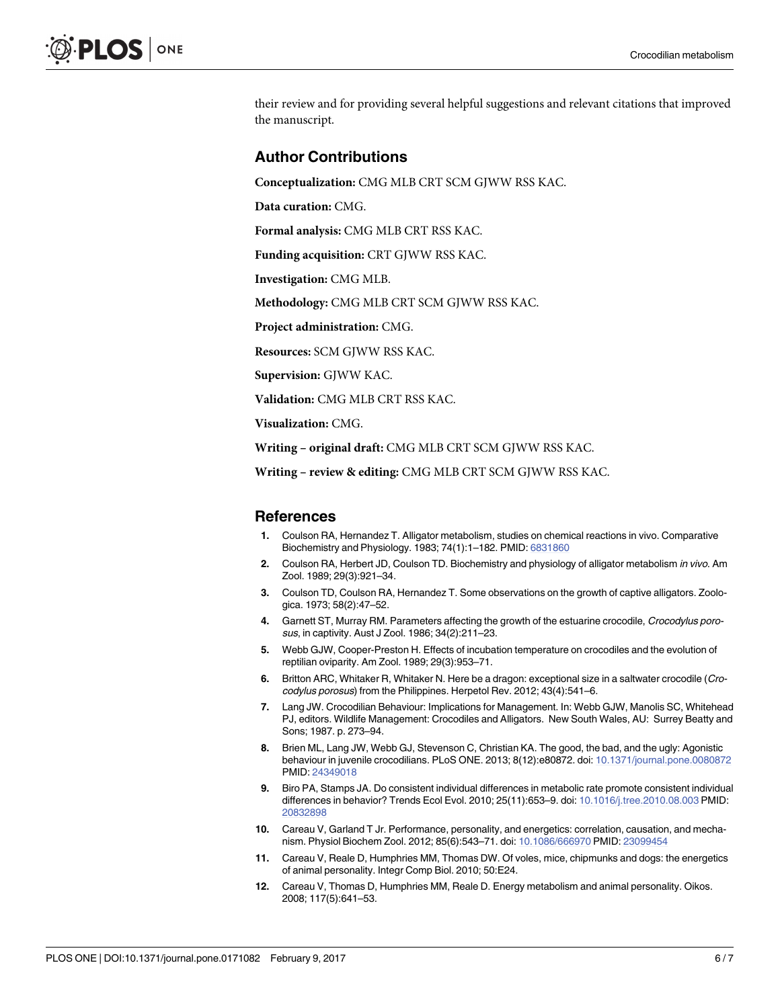<span id="page-6-0"></span>their review and for providing several helpful suggestions and relevant citations that improved the manuscript.

#### **Author Contributions**

**Conceptualization:** CMG MLB CRT SCM GJWW RSS KAC.

**Data curation:** CMG.

**Formal analysis:** CMG MLB CRT RSS KAC.

**Funding acquisition:** CRT GJWW RSS KAC.

**Investigation:** CMG MLB.

**Methodology:** CMG MLB CRT SCM GJWW RSS KAC.

**Project administration:** CMG.

**Resources:** SCM GJWW RSS KAC.

**Supervision:** GJWW KAC.

**Validation:** CMG MLB CRT RSS KAC.

**Visualization:** CMG.

**Writing – original draft:** CMG MLB CRT SCM GJWW RSS KAC.

**Writing – review & editing:** CMG MLB CRT SCM GJWW RSS KAC.

#### **References**

- **[1](#page-1-0).** Coulson RA, Hernandez T. Alligator metabolism, studies on chemical reactions in vivo. Comparative Biochemistry and Physiology. 1983; 74(1):1–182. PMID: [6831860](http://www.ncbi.nlm.nih.gov/pubmed/6831860)
- **[2](#page-1-0).** Coulson RA, Herbert JD, Coulson TD. Biochemistry and physiology of alligator metabolism in vivo. Am Zool. 1989; 29(3):921–34.
- **[3](#page-1-0).** Coulson TD, Coulson RA, Hernandez T. Some observations on the growth of captive alligators. Zoologica. 1973; 58(2):47–52.
- **[4](#page-1-0).** Garnett ST, Murray RM. Parameters affecting the growth of the estuarine crocodile, Crocodylus porosus, in captivity. Aust J Zool. 1986; 34(2):211–23.
- **[5](#page-2-0).** Webb GJW, Cooper-Preston H. Effects of incubation temperature on crocodiles and the evolution of reptilian oviparity. Am Zool. 1989; 29(3):953–71.
- **[6](#page-2-0).** Britton ARC, Whitaker R, Whitaker N. Here be a dragon: exceptional size in a saltwater crocodile (Crocodylus porosus) from the Philippines. Herpetol Rev. 2012; 43(4):541–6.
- **[7](#page-2-0).** Lang JW. Crocodilian Behaviour: Implications for Management. In: Webb GJW, Manolis SC, Whitehead PJ, editors. Wildlife Management: Crocodiles and Alligators. New South Wales, AU: Surrey Beatty and Sons; 1987. p. 273–94.
- **[8](#page-2-0).** Brien ML, Lang JW, Webb GJ, Stevenson C, Christian KA. The good, the bad, and the ugly: Agonistic behaviour in juvenile crocodilians. PLoS ONE. 2013; 8(12):e80872. doi: [10.1371/journal.pone.0080872](http://dx.doi.org/10.1371/journal.pone.0080872) PMID: [24349018](http://www.ncbi.nlm.nih.gov/pubmed/24349018)
- **[9](#page-2-0).** Biro PA, Stamps JA. Do consistent individual differences in metabolic rate promote consistent individual differences in behavior? Trends Ecol Evol. 2010; 25(11):653–9. doi: [10.1016/j.tree.2010.08.003](http://dx.doi.org/10.1016/j.tree.2010.08.003) PMID: [20832898](http://www.ncbi.nlm.nih.gov/pubmed/20832898)
- **10.** Careau V, Garland T Jr. Performance, personality, and energetics: correlation, causation, and mechanism. Physiol Biochem Zool. 2012; 85(6):543–71. doi: [10.1086/666970](http://dx.doi.org/10.1086/666970) PMID: [23099454](http://www.ncbi.nlm.nih.gov/pubmed/23099454)
- **11.** Careau V, Reale D, Humphries MM, Thomas DW. Of voles, mice, chipmunks and dogs: the energetics of animal personality. Integr Comp Biol. 2010; 50:E24.
- **[12](#page-2-0).** Careau V, Thomas D, Humphries MM, Reale D. Energy metabolism and animal personality. Oikos. 2008; 117(5):641–53.